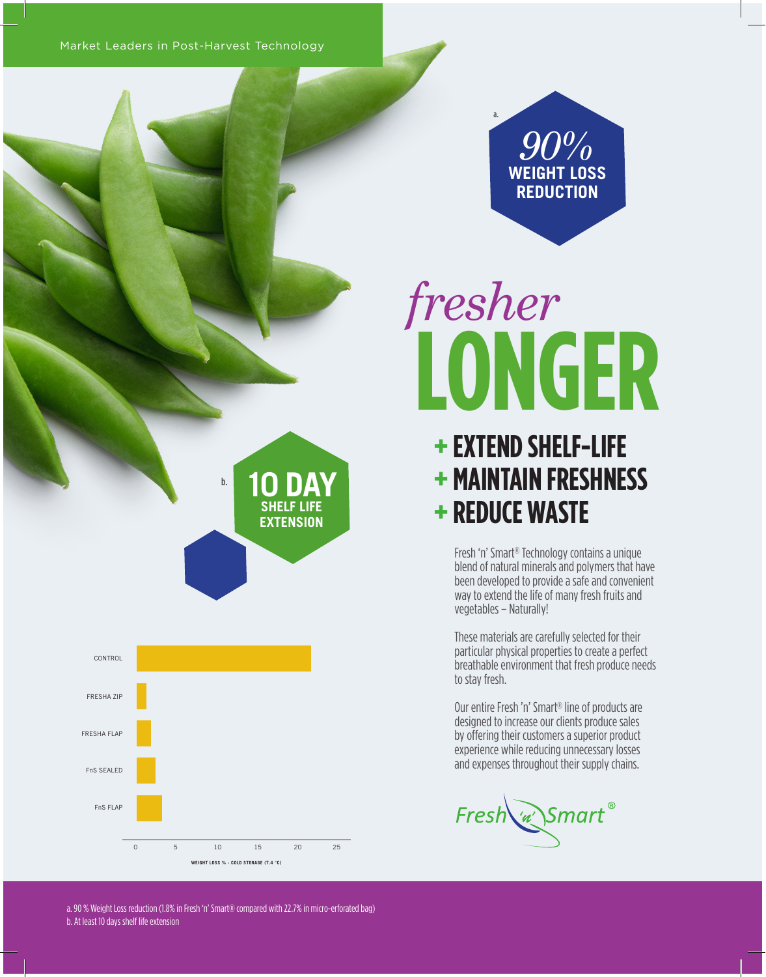Market Leaders in Post-Harvest Technology

*90%* **WEIGHT LOSS REDUCTION**

a.

## **LONGER** *fresher*

## **+ EXTEND SHELF-LIFE + MAINTAIN FRESHNESS + REDUCE WASTE**

Fresh 'n' Smart® Technology contains a unique blend of natural minerals and polymers that have been developed to provide a safe and convenient way to extend the life of many fresh fruits and vegetables – Naturally!

These materials are carefully selected for their particular physical properties to create a perfect breathable environment that fresh produce needs to stay fresh.

Our entire Fresh 'n' Smart® line of products are designed to increase our clients produce sales by offering their customers a superior product experience while reducing unnecessary losses and expenses throughout their supply chains.

Fresh w Smart®

**10 DAY SHELF LIFE EXTENSION**



a. 90 % Weight Loss reduction (1.8% in Fresh 'n' Smart® compared with 22.7% in micro-erforated bag) b. At least 10 days shelf life extension